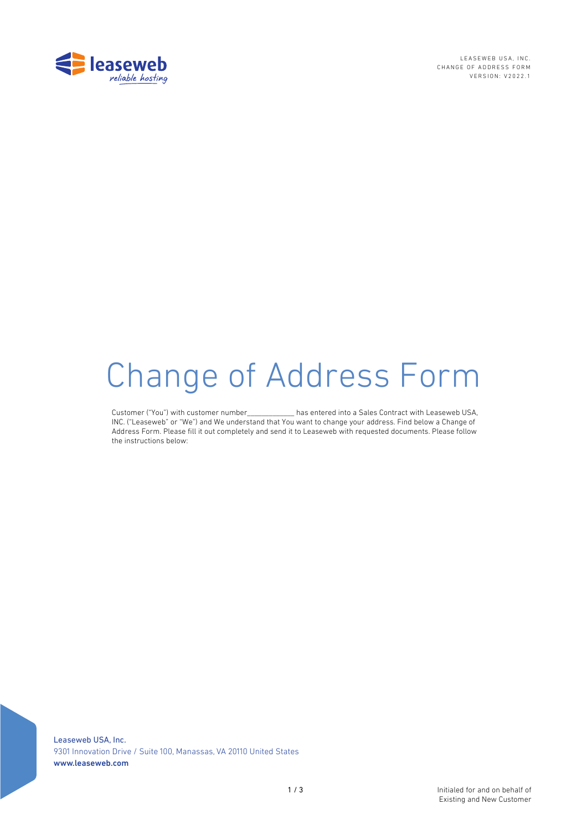

LEASEWEB USA, INC. CHANGE OF ADDRESS FORM VERSION: V2022.1

# Change of Address Form

Customer ("You") with customer number\_\_\_\_\_\_\_\_\_\_\_\_\_ has entered into a Sales Contract with Leaseweb USA, INC. ("Leaseweb" or "We") and We understand that You want to change your address. Find below a Change of Address Form. Please fill it out completely and send it to Leaseweb with requested documents. Please follow the instructions below:

Leaseweb USA, Inc. 9301 Innovation Drive / Suite 100, Manassas, VA 20110 United States www.leaseweb.com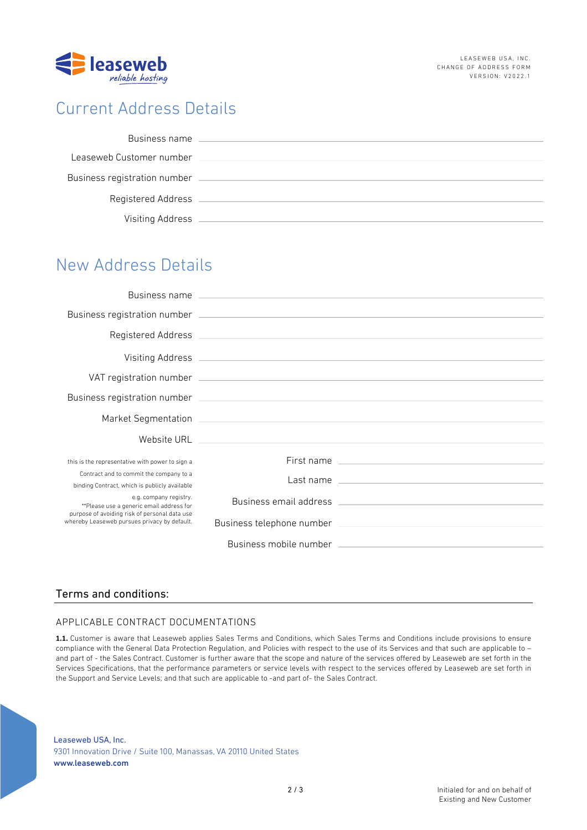

# Current Address Details

| Business name                |  |
|------------------------------|--|
| Leaseweb Customer number     |  |
| Business registration number |  |
| Registered Address           |  |
| Visiting Address             |  |

# New Address Details

|                                                                                                                                                                     | Business name experience and the state of the state of the state of the state of the state of the state of the |                                                                                                                                                                                                                                |
|---------------------------------------------------------------------------------------------------------------------------------------------------------------------|----------------------------------------------------------------------------------------------------------------|--------------------------------------------------------------------------------------------------------------------------------------------------------------------------------------------------------------------------------|
|                                                                                                                                                                     |                                                                                                                |                                                                                                                                                                                                                                |
|                                                                                                                                                                     |                                                                                                                |                                                                                                                                                                                                                                |
|                                                                                                                                                                     |                                                                                                                |                                                                                                                                                                                                                                |
|                                                                                                                                                                     |                                                                                                                |                                                                                                                                                                                                                                |
|                                                                                                                                                                     |                                                                                                                |                                                                                                                                                                                                                                |
|                                                                                                                                                                     |                                                                                                                |                                                                                                                                                                                                                                |
|                                                                                                                                                                     |                                                                                                                |                                                                                                                                                                                                                                |
| this is the representative with power to sign a                                                                                                                     |                                                                                                                | First name                                                                                                                                                                                                                     |
| Contract and to commit the company to a<br>binding Contract, which is publicly available                                                                            |                                                                                                                | Last name contract the contract of the contract of the contract of the contract of the contract of the contract of the contract of the contract of the contract of the contract of the contract of the contract of the contrac |
| e.g. company registry.<br>**Please use a generic email address for<br>purpose of avoiding risk of personal data use<br>whereby Leaseweb pursues privacy by default. |                                                                                                                |                                                                                                                                                                                                                                |
|                                                                                                                                                                     |                                                                                                                |                                                                                                                                                                                                                                |
|                                                                                                                                                                     |                                                                                                                |                                                                                                                                                                                                                                |

## Terms and conditions:

## APPLICABLE CONTRACT DOCUMENTATIONS

**1.1.** Customer is aware that Leaseweb applies Sales Terms and Conditions, which Sales Terms and Conditions include provisions to ensure compliance with the General Data Protection Regulation, and Policies with respect to the use of its Services and that such are applicable to – and part of - the Sales Contract. Customer is further aware that the scope and nature of the services offered by Leaseweb are set forth in the Services Specifications, that the performance parameters or service levels with respect to the services offered by Leaseweb are set forth in the Support and Service Levels; and that such are applicable to -and part of- the Sales Contract.

Leaseweb USA, Inc. 9301 Innovation Drive / Suite 100, Manassas, VA 20110 United States www.leaseweb.com